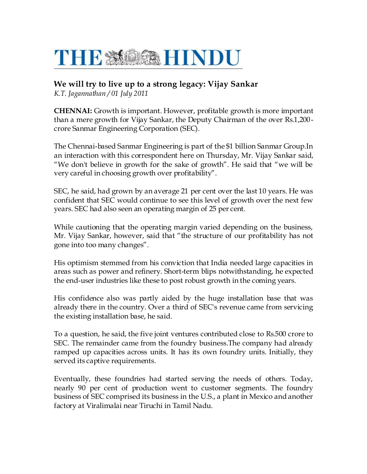## THE MOSAHINDU

## **We will try to live up to a strong legacy: Vijay Sankar**

*K.T. Jagannathan / 01 July 2011*

**CHENNAI:** Growth is important. However, profitable growth is more important than a mere growth for Vijay Sankar, the Deputy Chairman of the over Rs.1,200 crore Sanmar Engineering Corporation (SEC).

The Chennai-based Sanmar Engineering is part of the \$1 billion Sanmar Group.In an interaction with this correspondent here on Thursday, Mr. Vijay Sankar said, "We don't believe in growth for the sake of growth". He said that "we will be very careful in choosing growth over profitability".

SEC, he said, had grown by an average 21 per cent over the last 10 years. He was confident that SEC would continue to see this level of growth over the next few years. SEC had also seen an operating margin of 25 per cent.

While cautioning that the operating margin varied depending on the business, Mr. Vijay Sankar, however, said that "the structure of our profitability has not gone into too many changes".

His optimism stemmed from his conviction that India needed large capacities in areas such as power and refinery. Short-term blips notwithstanding, he expected the end-user industries like these to post robust growth in the coming years.

His confidence also was partly aided by the huge installation base that was already there in the country. Over a third of SEC's revenue came from servicing the existing installation base, he said.

To a question, he said, the five joint ventures contributed close to Rs.500 crore to SEC. The remainder came from the foundry business.The company had already ramped up capacities across units. It has its own foundry units. Initially, they served its captive requirements.

Eventually, these foundries had started serving the needs of others. Today, nearly 90 per cent of production went to customer segments. The foundry business of SEC comprised its business in the U.S., a plant in Mexico and another factory at Viralimalai near Tiruchi in Tamil Nadu.